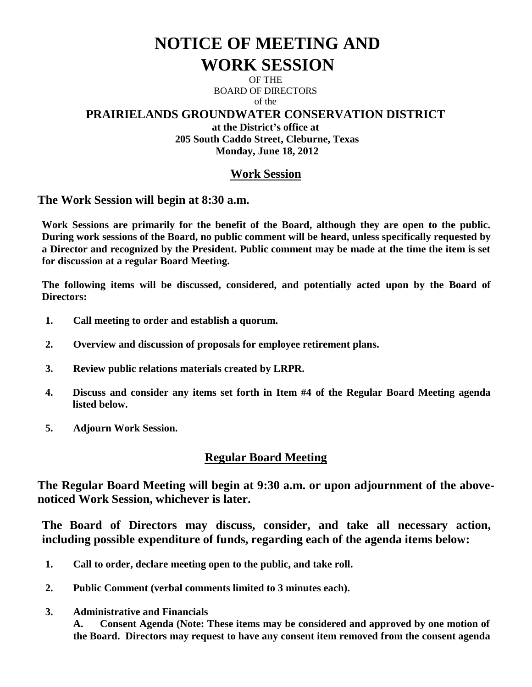# **NOTICE OF MEETING AND WORK SESSION**

OF THE BOARD OF DIRECTORS of the

# **PRAIRIELANDS GROUNDWATER CONSERVATION DISTRICT**

**at the District's office at 205 South Caddo Street, Cleburne, Texas Monday, June 18, 2012**

# **Work Session**

**The Work Session will begin at 8:30 a.m.**

**Work Sessions are primarily for the benefit of the Board, although they are open to the public. During work sessions of the Board, no public comment will be heard, unless specifically requested by a Director and recognized by the President. Public comment may be made at the time the item is set for discussion at a regular Board Meeting.**

**The following items will be discussed, considered, and potentially acted upon by the Board of Directors:** 

- **1. Call meeting to order and establish a quorum.**
- **2. Overview and discussion of proposals for employee retirement plans.**
- **3. Review public relations materials created by LRPR.**
- **4. Discuss and consider any items set forth in Item #4 of the Regular Board Meeting agenda listed below.**
- **5. Adjourn Work Session.**

# **Regular Board Meeting**

**The Regular Board Meeting will begin at 9:30 a.m. or upon adjournment of the abovenoticed Work Session, whichever is later.**

**The Board of Directors may discuss, consider, and take all necessary action, including possible expenditure of funds, regarding each of the agenda items below:**

- **1. Call to order, declare meeting open to the public, and take roll.**
- **2. Public Comment (verbal comments limited to 3 minutes each).**
- **3. Administrative and Financials**

**A. Consent Agenda (Note: These items may be considered and approved by one motion of the Board. Directors may request to have any consent item removed from the consent agenda**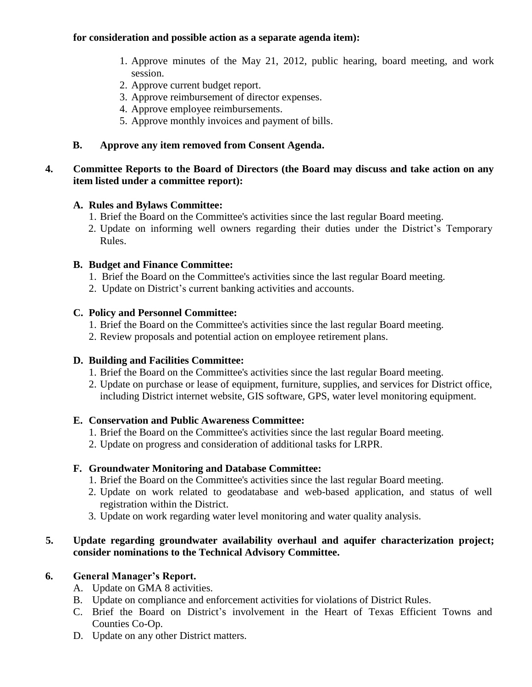#### **for consideration and possible action as a separate agenda item):**

- 1. Approve minutes of the May 21, 2012, public hearing, board meeting, and work session.
- 2. Approve current budget report.
- 3. Approve reimbursement of director expenses.
- 4. Approve employee reimbursements.
- 5. Approve monthly invoices and payment of bills.

### **B. Approve any item removed from Consent Agenda.**

#### **4. Committee Reports to the Board of Directors (the Board may discuss and take action on any item listed under a committee report):**

### **A. Rules and Bylaws Committee:**

- 1. Brief the Board on the Committee's activities since the last regular Board meeting.
- 2. Update on informing well owners regarding their duties under the District's Temporary Rules.

### **B. Budget and Finance Committee:**

- 1. Brief the Board on the Committee's activities since the last regular Board meeting.
- 2. Update on District's current banking activities and accounts.

### **C. Policy and Personnel Committee:**

- 1. Brief the Board on the Committee's activities since the last regular Board meeting.
- 2. Review proposals and potential action on employee retirement plans.

#### **D. Building and Facilities Committee:**

- 1. Brief the Board on the Committee's activities since the last regular Board meeting.
- 2. Update on purchase or lease of equipment, furniture, supplies, and services for District office, including District internet website, GIS software, GPS, water level monitoring equipment.

#### **E. Conservation and Public Awareness Committee:**

- 1. Brief the Board on the Committee's activities since the last regular Board meeting.
- 2. Update on progress and consideration of additional tasks for LRPR.

# **F. Groundwater Monitoring and Database Committee:**

- 1. Brief the Board on the Committee's activities since the last regular Board meeting.
- 2. Update on work related to geodatabase and web-based application, and status of well registration within the District.
- 3. Update on work regarding water level monitoring and water quality analysis.

### **5. Update regarding groundwater availability overhaul and aquifer characterization project; consider nominations to the Technical Advisory Committee.**

# **6. General Manager's Report.**

- A. Update on GMA 8 activities.
- B. Update on compliance and enforcement activities for violations of District Rules.
- C. Brief the Board on District's involvement in the Heart of Texas Efficient Towns and Counties Co-Op.
- D. Update on any other District matters.